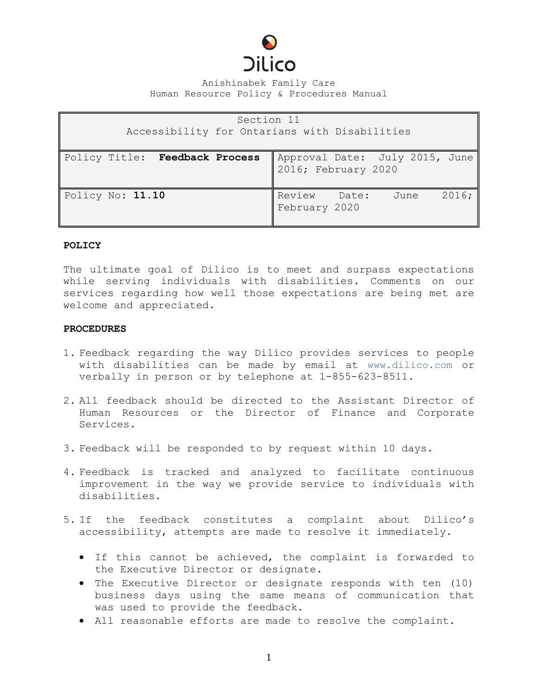

## Anishinabek Family Care Human Resource Policy & Procedures Manual

| Section 11<br>Accessibility for Ontarians with Disabilities |                                                       |
|-------------------------------------------------------------|-------------------------------------------------------|
| Policy Title: Feedback Process                              | Approval Date: July 2015, June<br>2016; February 2020 |
| Policy No: 11.10                                            | Review<br>2016;<br>Date:<br>June<br>February 2020     |

## **POLICY**

The ultimate goal of Dilico is to meet and surpass expectations while serving individuals with disabilities. Comments on our services regarding how well those expectations are being met are welcome and appreciated.

## **PROCEDURES**

- 1. Feedback regarding the way Dilico provides services to people with disabilities can be made by email at [www.dilico.com](http://www.dilico.com/) or verbally in person or by telephone at 1-855-623-8511.
- 2. All feedback should be directed to the Assistant Director of Human Resources or the Director of Finance and Corporate Services.
- 3. Feedback will be responded to by request within 10 days.
- 4. Feedback is tracked and analyzed to facilitate continuous improvement in the way we provide service to individuals with disabilities.
- 5. If the feedback constitutes a complaint about Dilico's accessibility, attempts are made to resolve it immediately.
	- If this cannot be achieved, the complaint is forwarded to the Executive Director or designate.
	- The Executive Director or designate responds with ten (10) business days using the same means of communication that was used to provide the feedback.
	- All reasonable efforts are made to resolve the complaint.